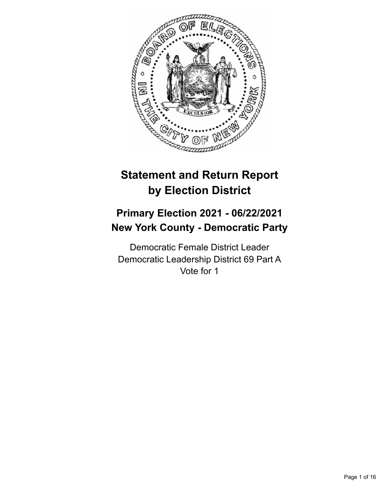

# **Statement and Return Report by Election District**

# **Primary Election 2021 - 06/22/2021 New York County - Democratic Party**

Democratic Female District Leader Democratic Leadership District 69 Part A Vote for 1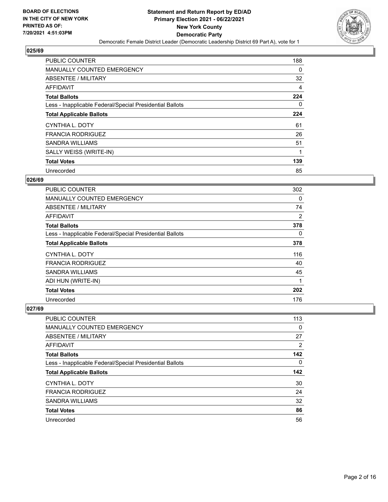

| PUBLIC COUNTER                                           | 188      |
|----------------------------------------------------------|----------|
| <b>MANUALLY COUNTED EMERGENCY</b>                        | $\Omega$ |
| ABSENTEE / MILITARY                                      | 32       |
| AFFIDAVIT                                                | 4        |
| <b>Total Ballots</b>                                     | 224      |
| Less - Inapplicable Federal/Special Presidential Ballots | $\Omega$ |
| <b>Total Applicable Ballots</b>                          | 224      |
| CYNTHIA L. DOTY                                          | 61       |
| <b>FRANCIA RODRIGUEZ</b>                                 | 26       |
| <b>SANDRA WILLIAMS</b>                                   | 51       |
| SALLY WEISS (WRITE-IN)                                   | 1        |
| <b>Total Votes</b>                                       | 139      |
| Unrecorded                                               | 85       |

# **026/69**

| PUBLIC COUNTER                                           | 302 |
|----------------------------------------------------------|-----|
| <b>MANUALLY COUNTED EMERGENCY</b>                        | 0   |
| ABSENTEE / MILITARY                                      | 74  |
| AFFIDAVIT                                                | 2   |
| <b>Total Ballots</b>                                     | 378 |
| Less - Inapplicable Federal/Special Presidential Ballots | 0   |
| <b>Total Applicable Ballots</b>                          | 378 |
| CYNTHIA L. DOTY                                          | 116 |
| <b>FRANCIA RODRIGUEZ</b>                                 | 40  |
| <b>SANDRA WILLIAMS</b>                                   | 45  |
| ADI HUN (WRITE-IN)                                       | 1   |
| <b>Total Votes</b>                                       | 202 |
| Unrecorded                                               | 176 |

| PUBLIC COUNTER                                           | 113 |
|----------------------------------------------------------|-----|
| <b>MANUALLY COUNTED EMERGENCY</b>                        | 0   |
| ABSENTEE / MILITARY                                      | 27  |
| AFFIDAVIT                                                | 2   |
| <b>Total Ballots</b>                                     | 142 |
| Less - Inapplicable Federal/Special Presidential Ballots | 0   |
|                                                          |     |
| <b>Total Applicable Ballots</b>                          | 142 |
| CYNTHIA L. DOTY                                          | 30  |
| <b>FRANCIA RODRIGUEZ</b>                                 | 24  |
| <b>SANDRA WILLIAMS</b>                                   | 32  |
| <b>Total Votes</b>                                       | 86  |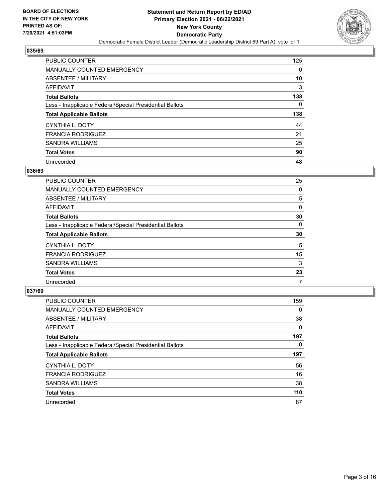

| <b>PUBLIC COUNTER</b>                                    | 125 |
|----------------------------------------------------------|-----|
| <b>MANUALLY COUNTED EMERGENCY</b>                        | 0   |
| <b>ABSENTEE / MILITARY</b>                               | 10  |
| AFFIDAVIT                                                | 3   |
| <b>Total Ballots</b>                                     | 138 |
| Less - Inapplicable Federal/Special Presidential Ballots | 0   |
|                                                          |     |
| <b>Total Applicable Ballots</b>                          | 138 |
| CYNTHIA L. DOTY                                          | 44  |
| <b>FRANCIA RODRIGUEZ</b>                                 | 21  |
| SANDRA WILLIAMS                                          | 25  |
| <b>Total Votes</b>                                       | 90  |

## **036/69**

| <b>PUBLIC COUNTER</b>                                    | 25       |
|----------------------------------------------------------|----------|
| MANUALLY COUNTED EMERGENCY                               | 0        |
| ABSENTEE / MILITARY                                      | 5        |
| <b>AFFIDAVIT</b>                                         | $\Omega$ |
| <b>Total Ballots</b>                                     | 30       |
| Less - Inapplicable Federal/Special Presidential Ballots | 0        |
| <b>Total Applicable Ballots</b>                          | 30       |
| CYNTHIA L. DOTY                                          | 5        |
| <b>FRANCIA RODRIGUEZ</b>                                 | 15       |
| <b>SANDRA WILLIAMS</b>                                   | 3        |
| <b>Total Votes</b>                                       | 23       |
| Unrecorded                                               | 7        |

| <b>PUBLIC COUNTER</b>                                    | 159      |
|----------------------------------------------------------|----------|
| MANUALLY COUNTED EMERGENCY                               | $\Omega$ |
| ABSENTEE / MILITARY                                      | 38       |
| <b>AFFIDAVIT</b>                                         | $\Omega$ |
| <b>Total Ballots</b>                                     | 197      |
| Less - Inapplicable Federal/Special Presidential Ballots | $\Omega$ |
| <b>Total Applicable Ballots</b>                          | 197      |
| CYNTHIA L. DOTY                                          | 56       |
| <b>FRANCIA RODRIGUEZ</b>                                 | 16       |
| <b>SANDRA WILLIAMS</b>                                   | 38       |
| <b>Total Votes</b>                                       | 110      |
| Unrecorded                                               | 87       |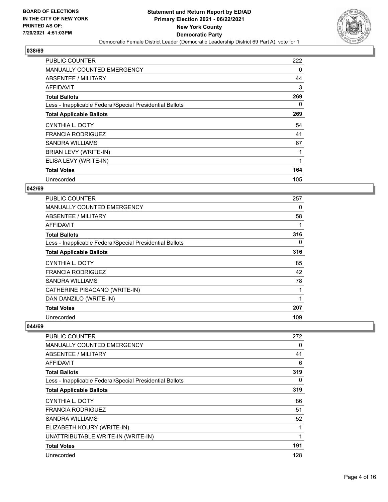

| <b>PUBLIC COUNTER</b>                                    | 222 |
|----------------------------------------------------------|-----|
| <b>MANUALLY COUNTED EMERGENCY</b>                        | 0   |
| ABSENTEE / MILITARY                                      | 44  |
| AFFIDAVIT                                                | 3   |
| <b>Total Ballots</b>                                     | 269 |
| Less - Inapplicable Federal/Special Presidential Ballots | 0   |
| <b>Total Applicable Ballots</b>                          | 269 |
| CYNTHIA L. DOTY                                          | 54  |
| <b>FRANCIA RODRIGUEZ</b>                                 | 41  |
| SANDRA WILLIAMS                                          | 67  |
| BRIAN LEVY (WRITE-IN)                                    | 1   |
| ELISA LEVY (WRITE-IN)                                    | 1   |
|                                                          |     |
| <b>Total Votes</b>                                       | 164 |

# **042/69**

| <b>PUBLIC COUNTER</b>                                    | 257 |
|----------------------------------------------------------|-----|
| <b>MANUALLY COUNTED EMERGENCY</b>                        | 0   |
| ABSENTEE / MILITARY                                      | 58  |
| AFFIDAVIT                                                |     |
| <b>Total Ballots</b>                                     | 316 |
| Less - Inapplicable Federal/Special Presidential Ballots | 0   |
| <b>Total Applicable Ballots</b>                          | 316 |
| CYNTHIA L. DOTY                                          | 85  |
| <b>FRANCIA RODRIGUEZ</b>                                 | 42  |
| SANDRA WILLIAMS                                          | 78  |
| CATHERINE PISACANO (WRITE-IN)                            |     |
| DAN DANZILO (WRITE-IN)                                   | 1   |
| <b>Total Votes</b>                                       | 207 |
| Unrecorded                                               | 109 |

| <b>PUBLIC COUNTER</b>                                    | 272 |
|----------------------------------------------------------|-----|
| <b>MANUALLY COUNTED EMERGENCY</b>                        | 0   |
| <b>ABSENTEE / MILITARY</b>                               | 41  |
| <b>AFFIDAVIT</b>                                         | 6   |
| <b>Total Ballots</b>                                     | 319 |
| Less - Inapplicable Federal/Special Presidential Ballots | 0   |
| <b>Total Applicable Ballots</b>                          | 319 |
| CYNTHIA L. DOTY                                          | 86  |
| <b>FRANCIA RODRIGUEZ</b>                                 | 51  |
| <b>SANDRA WILLIAMS</b>                                   | 52  |
| ELIZABETH KOURY (WRITE-IN)                               |     |
| UNATTRIBUTABLE WRITE-IN (WRITE-IN)                       | 1   |
| <b>Total Votes</b>                                       | 191 |
| Unrecorded                                               | 128 |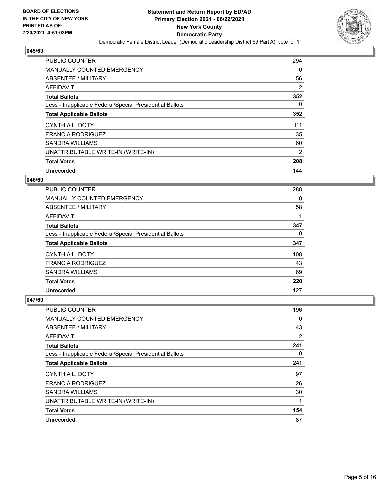

| <b>PUBLIC COUNTER</b>                                    | 294            |
|----------------------------------------------------------|----------------|
| <b>MANUALLY COUNTED EMERGENCY</b>                        | $\Omega$       |
| ABSENTEE / MILITARY                                      | 56             |
| <b>AFFIDAVIT</b>                                         | 2              |
| <b>Total Ballots</b>                                     | 352            |
| Less - Inapplicable Federal/Special Presidential Ballots | 0              |
| <b>Total Applicable Ballots</b>                          | 352            |
| <b>CYNTHIA L. DOTY</b>                                   | 111            |
| <b>FRANCIA RODRIGUEZ</b>                                 | 35             |
| <b>SANDRA WILLIAMS</b>                                   | 60             |
| UNATTRIBUTABLE WRITE-IN (WRITE-IN)                       | $\overline{2}$ |
| <b>Total Votes</b>                                       | 208            |
| Unrecorded                                               | 144            |

# **046/69**

| <b>PUBLIC COUNTER</b>                                    | 288 |
|----------------------------------------------------------|-----|
| MANUALLY COUNTED EMERGENCY                               | 0   |
| ABSENTEE / MILITARY                                      | 58  |
| <b>AFFIDAVIT</b>                                         |     |
| <b>Total Ballots</b>                                     | 347 |
| Less - Inapplicable Federal/Special Presidential Ballots | 0   |
| <b>Total Applicable Ballots</b>                          | 347 |
| CYNTHIA L. DOTY                                          | 108 |
| <b>FRANCIA RODRIGUEZ</b>                                 | 43  |
| SANDRA WILLIAMS                                          | 69  |
| <b>Total Votes</b>                                       | 220 |
| Unrecorded                                               | 127 |

| <b>PUBLIC COUNTER</b>                                    | 196      |
|----------------------------------------------------------|----------|
| MANUALLY COUNTED EMERGENCY                               | 0        |
| ABSENTEE / MILITARY                                      | 43       |
| AFFIDAVIT                                                | 2        |
| <b>Total Ballots</b>                                     | 241      |
| Less - Inapplicable Federal/Special Presidential Ballots | $\Omega$ |
| <b>Total Applicable Ballots</b>                          | 241      |
| CYNTHIA L. DOTY                                          | 97       |
| <b>FRANCIA RODRIGUEZ</b>                                 | 26       |
| <b>SANDRA WILLIAMS</b>                                   | 30       |
| UNATTRIBUTABLE WRITE-IN (WRITE-IN)                       |          |
| <b>Total Votes</b>                                       | 154      |
| Unrecorded                                               | 87       |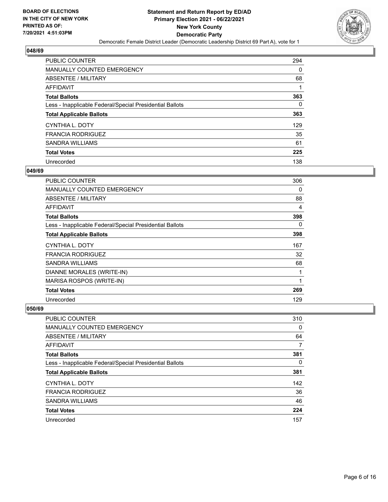

| <b>PUBLIC COUNTER</b>                                    | 294 |
|----------------------------------------------------------|-----|
| <b>MANUALLY COUNTED EMERGENCY</b>                        | 0   |
| ABSENTEE / MILITARY                                      | 68  |
| AFFIDAVIT                                                |     |
| <b>Total Ballots</b>                                     | 363 |
| Less - Inapplicable Federal/Special Presidential Ballots | 0   |
| <b>Total Applicable Ballots</b>                          | 363 |
| CYNTHIA L. DOTY                                          | 129 |
| <b>FRANCIA RODRIGUEZ</b>                                 | 35  |
| SANDRA WILLIAMS                                          | 61  |
| <b>Total Votes</b>                                       | 225 |
| Unrecorded                                               | 138 |

## **049/69**

| PUBLIC COUNTER                                           | 306          |
|----------------------------------------------------------|--------------|
| <b>MANUALLY COUNTED EMERGENCY</b>                        | 0            |
| ABSENTEE / MILITARY                                      | 88           |
| AFFIDAVIT                                                | 4            |
| <b>Total Ballots</b>                                     | 398          |
| Less - Inapplicable Federal/Special Presidential Ballots | 0            |
| <b>Total Applicable Ballots</b>                          | 398          |
| CYNTHIA L. DOTY                                          | 167          |
| <b>FRANCIA RODRIGUEZ</b>                                 | 32           |
| SANDRA WILLIAMS                                          | 68           |
| DIANNE MORALES (WRITE-IN)                                | 1            |
| MARISA ROSPOS (WRITE-IN)                                 | $\mathbf{1}$ |
| <b>Total Votes</b>                                       | 269          |
| Unrecorded                                               | 129          |

| PUBLIC COUNTER                                           | 310 |
|----------------------------------------------------------|-----|
| <b>MANUALLY COUNTED EMERGENCY</b>                        | 0   |
| ABSENTEE / MILITARY                                      | 64  |
| AFFIDAVIT                                                |     |
| <b>Total Ballots</b>                                     | 381 |
| Less - Inapplicable Federal/Special Presidential Ballots | 0   |
| <b>Total Applicable Ballots</b>                          | 381 |
| CYNTHIA L. DOTY                                          | 142 |
| <b>FRANCIA RODRIGUEZ</b>                                 | 36  |
| <b>SANDRA WILLIAMS</b>                                   | 46  |
| <b>Total Votes</b>                                       | 224 |
| Unrecorded                                               | 157 |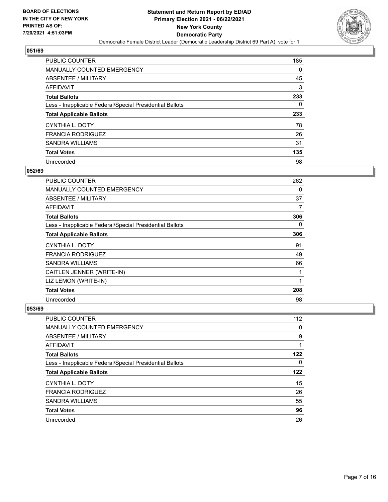

| <b>PUBLIC COUNTER</b>                                    | 185 |
|----------------------------------------------------------|-----|
| <b>MANUALLY COUNTED EMERGENCY</b>                        | 0   |
| ABSENTEE / MILITARY                                      | 45  |
| AFFIDAVIT                                                | 3   |
| <b>Total Ballots</b>                                     | 233 |
| Less - Inapplicable Federal/Special Presidential Ballots | 0   |
| <b>Total Applicable Ballots</b>                          | 233 |
| CYNTHIA L. DOTY                                          | 78  |
| <b>FRANCIA RODRIGUEZ</b>                                 | 26  |
| SANDRA WILLIAMS                                          | 31  |
| <b>Total Votes</b>                                       | 135 |
| Unrecorded                                               | 98  |

## **052/69**

| PUBLIC COUNTER                                           | 262 |
|----------------------------------------------------------|-----|
| MANUALLY COUNTED EMERGENCY                               | 0   |
| ABSENTEE / MILITARY                                      | 37  |
| <b>AFFIDAVIT</b>                                         | 7   |
| <b>Total Ballots</b>                                     | 306 |
| Less - Inapplicable Federal/Special Presidential Ballots | 0   |
| <b>Total Applicable Ballots</b>                          | 306 |
| CYNTHIA L. DOTY                                          | 91  |
| <b>FRANCIA RODRIGUEZ</b>                                 | 49  |
| <b>SANDRA WILLIAMS</b>                                   | 66  |
| CAITLEN JENNER (WRITE-IN)                                | 1   |
| LIZ LEMON (WRITE-IN)                                     | 1   |
| <b>Total Votes</b>                                       | 208 |
| Unrecorded                                               | 98  |

| PUBLIC COUNTER                                           | 112 |
|----------------------------------------------------------|-----|
| <b>MANUALLY COUNTED EMERGENCY</b>                        | 0   |
| ABSENTEE / MILITARY                                      | 9   |
| <b>AFFIDAVIT</b>                                         |     |
| <b>Total Ballots</b>                                     | 122 |
| Less - Inapplicable Federal/Special Presidential Ballots | 0   |
| <b>Total Applicable Ballots</b>                          | 122 |
|                                                          |     |
| CYNTHIA L. DOTY                                          | 15  |
| <b>FRANCIA RODRIGUEZ</b>                                 | 26  |
| <b>SANDRA WILLIAMS</b>                                   | 55  |
| <b>Total Votes</b>                                       | 96  |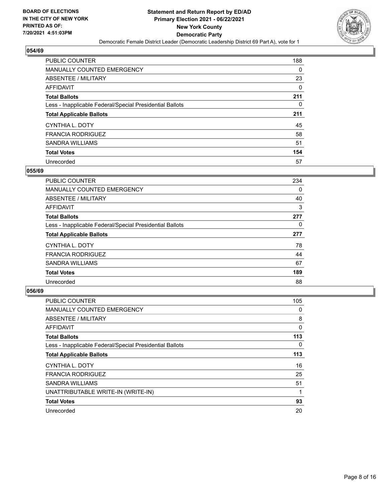

| <b>PUBLIC COUNTER</b>                                    | 188 |
|----------------------------------------------------------|-----|
| <b>MANUALLY COUNTED EMERGENCY</b>                        | 0   |
| ABSENTEE / MILITARY                                      | 23  |
| AFFIDAVIT                                                | 0   |
| <b>Total Ballots</b>                                     | 211 |
| Less - Inapplicable Federal/Special Presidential Ballots | 0   |
| <b>Total Applicable Ballots</b>                          | 211 |
|                                                          |     |
| CYNTHIA L. DOTY                                          | 45  |
| <b>FRANCIA RODRIGUEZ</b>                                 | 58  |
| SANDRA WILLIAMS                                          | 51  |
| <b>Total Votes</b>                                       | 154 |

## **055/69**

| <b>PUBLIC COUNTER</b>                                    | 234      |
|----------------------------------------------------------|----------|
| <b>MANUALLY COUNTED EMERGENCY</b>                        | $\Omega$ |
| ABSENTEE / MILITARY                                      | 40       |
| <b>AFFIDAVIT</b>                                         | 3        |
| <b>Total Ballots</b>                                     | 277      |
| Less - Inapplicable Federal/Special Presidential Ballots | $\Omega$ |
| <b>Total Applicable Ballots</b>                          | 277      |
| <b>CYNTHIA L. DOTY</b>                                   | 78       |
| <b>FRANCIA RODRIGUEZ</b>                                 | 44       |
| SANDRA WILLIAMS                                          | 67       |
| <b>Total Votes</b>                                       | 189      |
| Unrecorded                                               | 88       |

| PUBLIC COUNTER                                           | 105 |
|----------------------------------------------------------|-----|
| <b>MANUALLY COUNTED EMERGENCY</b>                        | 0   |
| ABSENTEE / MILITARY                                      | 8   |
| AFFIDAVIT                                                | 0   |
| <b>Total Ballots</b>                                     | 113 |
| Less - Inapplicable Federal/Special Presidential Ballots | 0   |
| <b>Total Applicable Ballots</b>                          | 113 |
| CYNTHIA L. DOTY                                          | 16  |
| <b>FRANCIA RODRIGUEZ</b>                                 | 25  |
| SANDRA WILLIAMS                                          | 51  |
| UNATTRIBUTABLE WRITE-IN (WRITE-IN)                       |     |
| <b>Total Votes</b>                                       | 93  |
| Unrecorded                                               | 20  |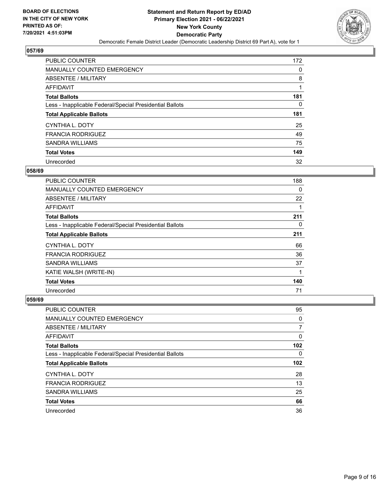

| <b>PUBLIC COUNTER</b>                                    | 172 |
|----------------------------------------------------------|-----|
| <b>MANUALLY COUNTED EMERGENCY</b>                        | 0   |
| ABSENTEE / MILITARY                                      | 8   |
| AFFIDAVIT                                                |     |
| <b>Total Ballots</b>                                     | 181 |
| Less - Inapplicable Federal/Special Presidential Ballots | 0   |
| <b>Total Applicable Ballots</b>                          | 181 |
| CYNTHIA L. DOTY                                          | 25  |
| <b>FRANCIA RODRIGUEZ</b>                                 | 49  |
| <b>SANDRA WILLIAMS</b>                                   | 75  |
| <b>Total Votes</b>                                       | 149 |
| Unrecorded                                               | 32  |

## **058/69**

| <b>PUBLIC COUNTER</b>                                    | 188 |
|----------------------------------------------------------|-----|
| <b>MANUALLY COUNTED EMERGENCY</b>                        | 0   |
| ABSENTEE / MILITARY                                      | 22  |
| <b>AFFIDAVIT</b>                                         |     |
| <b>Total Ballots</b>                                     | 211 |
| Less - Inapplicable Federal/Special Presidential Ballots | 0   |
| <b>Total Applicable Ballots</b>                          | 211 |
| <b>CYNTHIA L. DOTY</b>                                   | 66  |
| <b>FRANCIA RODRIGUEZ</b>                                 | 36  |
| SANDRA WILLIAMS                                          | 37  |
| KATIE WALSH (WRITE-IN)                                   | 1   |
| <b>Total Votes</b>                                       | 140 |
| Unrecorded                                               | 71  |

| <b>PUBLIC COUNTER</b>                                    | 95               |
|----------------------------------------------------------|------------------|
| <b>MANUALLY COUNTED EMERGENCY</b>                        | 0                |
| ABSENTEE / MILITARY                                      | 7                |
| AFFIDAVIT                                                | 0                |
| <b>Total Ballots</b>                                     | 102 <sub>2</sub> |
| Less - Inapplicable Federal/Special Presidential Ballots | 0                |
| <b>Total Applicable Ballots</b>                          | 102 <sub>2</sub> |
|                                                          | 28               |
| CYNTHIA L. DOTY                                          |                  |
| <b>FRANCIA RODRIGUEZ</b>                                 | 13               |
| <b>SANDRA WILLIAMS</b>                                   | 25               |
| <b>Total Votes</b>                                       | 66               |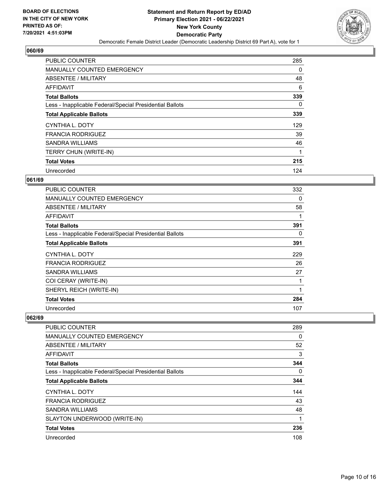

| PUBLIC COUNTER                                           | 285      |
|----------------------------------------------------------|----------|
| <b>MANUALLY COUNTED EMERGENCY</b>                        | $\Omega$ |
| <b>ABSENTEE / MILITARY</b>                               | 48       |
| <b>AFFIDAVIT</b>                                         | 6        |
| <b>Total Ballots</b>                                     | 339      |
| Less - Inapplicable Federal/Special Presidential Ballots | $\Omega$ |
| <b>Total Applicable Ballots</b>                          | 339      |
| CYNTHIA L. DOTY                                          | 129      |
| <b>FRANCIA RODRIGUEZ</b>                                 | 39       |
| <b>SANDRA WILLIAMS</b>                                   | 46       |
| TERRY CHUN (WRITE-IN)                                    | 1        |
| <b>Total Votes</b>                                       | 215      |
| Unrecorded                                               | 124      |

## **061/69**

| PUBLIC COUNTER                                           | 332          |
|----------------------------------------------------------|--------------|
| MANUALLY COUNTED EMERGENCY                               | 0            |
| ABSENTEE / MILITARY                                      | 58           |
| <b>AFFIDAVIT</b>                                         | 1            |
| <b>Total Ballots</b>                                     | 391          |
| Less - Inapplicable Federal/Special Presidential Ballots | 0            |
| <b>Total Applicable Ballots</b>                          | 391          |
| CYNTHIA L. DOTY                                          | 229          |
| <b>FRANCIA RODRIGUEZ</b>                                 | 26           |
| <b>SANDRA WILLIAMS</b>                                   | 27           |
| COI CERAY (WRITE-IN)                                     | 1            |
| SHERYL REICH (WRITE-IN)                                  | $\mathbf{1}$ |
| <b>Total Votes</b>                                       | 284          |
| Unrecorded                                               | 107          |

| <b>PUBLIC COUNTER</b>                                    | 289 |
|----------------------------------------------------------|-----|
| <b>MANUALLY COUNTED EMERGENCY</b>                        | 0   |
| ABSENTEE / MILITARY                                      | 52  |
| <b>AFFIDAVIT</b>                                         | 3   |
| <b>Total Ballots</b>                                     | 344 |
| Less - Inapplicable Federal/Special Presidential Ballots | 0   |
| <b>Total Applicable Ballots</b>                          | 344 |
| CYNTHIA L. DOTY                                          | 144 |
| <b>FRANCIA RODRIGUEZ</b>                                 | 43  |
| <b>SANDRA WILLIAMS</b>                                   | 48  |
| SLAYTON UNDERWOOD (WRITE-IN)                             | 1   |
| <b>Total Votes</b>                                       | 236 |
| Unrecorded                                               | 108 |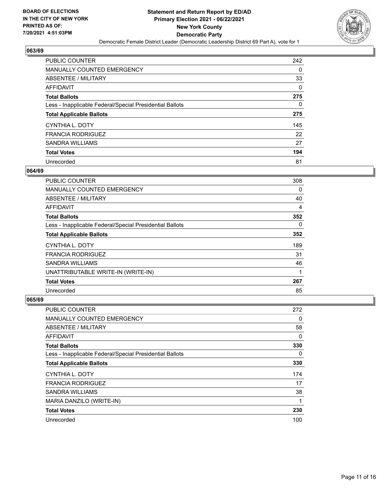

| <b>PUBLIC COUNTER</b>                                    | 242 |
|----------------------------------------------------------|-----|
| <b>MANUALLY COUNTED EMERGENCY</b>                        | 0   |
| ABSENTEE / MILITARY                                      | 33  |
| AFFIDAVIT                                                | 0   |
| <b>Total Ballots</b>                                     | 275 |
| Less - Inapplicable Federal/Special Presidential Ballots | 0   |
| <b>Total Applicable Ballots</b>                          | 275 |
| CYNTHIA L. DOTY                                          | 145 |
| <b>FRANCIA RODRIGUEZ</b>                                 | 22  |
| SANDRA WILLIAMS                                          | 27  |
| <b>Total Votes</b>                                       | 194 |
| Unrecorded                                               | 81  |

## **064/69**

| <b>PUBLIC COUNTER</b>                                    | 308 |
|----------------------------------------------------------|-----|
| <b>MANUALLY COUNTED EMERGENCY</b>                        | 0   |
| ABSENTEE / MILITARY                                      | 40  |
| <b>AFFIDAVIT</b>                                         | 4   |
| <b>Total Ballots</b>                                     | 352 |
| Less - Inapplicable Federal/Special Presidential Ballots | 0   |
| <b>Total Applicable Ballots</b>                          | 352 |
| CYNTHIA L. DOTY                                          | 189 |
| <b>FRANCIA RODRIGUEZ</b>                                 | 31  |
| SANDRA WILLIAMS                                          | 46  |
| UNATTRIBUTABLE WRITE-IN (WRITE-IN)                       | 1   |
| <b>Total Votes</b>                                       | 267 |
| Unrecorded                                               | 85  |

| PUBLIC COUNTER                                           | 272      |
|----------------------------------------------------------|----------|
| MANUALLY COUNTED EMERGENCY                               | 0        |
| ABSENTEE / MILITARY                                      | 58       |
| AFFIDAVIT                                                | 0        |
| <b>Total Ballots</b>                                     | 330      |
| Less - Inapplicable Federal/Special Presidential Ballots | $\Omega$ |
| <b>Total Applicable Ballots</b>                          | 330      |
| CYNTHIA L. DOTY                                          | 174      |
| <b>FRANCIA RODRIGUEZ</b>                                 | 17       |
| <b>SANDRA WILLIAMS</b>                                   | 38       |
| MARIA DANZILO (WRITE-IN)                                 | 1        |
| <b>Total Votes</b>                                       | 230      |
| Unrecorded                                               | 100      |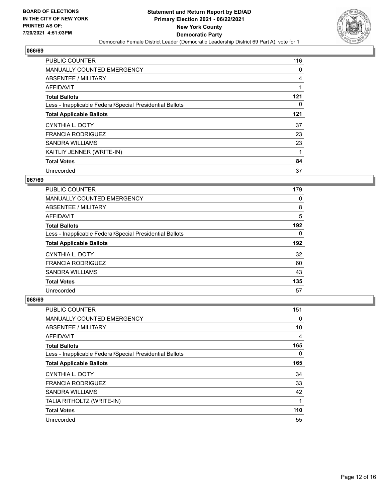

| PUBLIC COUNTER                                           | 116 |
|----------------------------------------------------------|-----|
| <b>MANUALLY COUNTED EMERGENCY</b>                        | 0   |
| ABSENTEE / MILITARY                                      | 4   |
| AFFIDAVIT                                                |     |
| <b>Total Ballots</b>                                     | 121 |
| Less - Inapplicable Federal/Special Presidential Ballots | 0   |
| <b>Total Applicable Ballots</b>                          | 121 |
| CYNTHIA L. DOTY                                          | 37  |
| <b>FRANCIA RODRIGUEZ</b>                                 | 23  |
| <b>SANDRA WILLIAMS</b>                                   | 23  |
| KAITLIY JENNER (WRITE-IN)                                |     |
| <b>Total Votes</b>                                       | 84  |
| Unrecorded                                               | 37  |

## **067/69**

| <b>PUBLIC COUNTER</b>                                    | 179      |
|----------------------------------------------------------|----------|
| <b>MANUALLY COUNTED EMERGENCY</b>                        | 0        |
| ABSENTEE / MILITARY                                      | 8        |
| <b>AFFIDAVIT</b>                                         | 5        |
| <b>Total Ballots</b>                                     | 192      |
| Less - Inapplicable Federal/Special Presidential Ballots | $\Omega$ |
| <b>Total Applicable Ballots</b>                          | 192      |
| CYNTHIA L. DOTY                                          | 32       |
| <b>FRANCIA RODRIGUEZ</b>                                 | 60       |
| <b>SANDRA WILLIAMS</b>                                   | 43       |
|                                                          |          |
| <b>Total Votes</b>                                       | 135      |

| PUBLIC COUNTER                                           | 151 |
|----------------------------------------------------------|-----|
| MANUALLY COUNTED EMERGENCY                               | 0   |
| ABSENTEE / MILITARY                                      | 10  |
| AFFIDAVIT                                                | 4   |
| <b>Total Ballots</b>                                     | 165 |
| Less - Inapplicable Federal/Special Presidential Ballots | 0   |
| <b>Total Applicable Ballots</b>                          | 165 |
| CYNTHIA L. DOTY                                          | 34  |
| <b>FRANCIA RODRIGUEZ</b>                                 | 33  |
| <b>SANDRA WILLIAMS</b>                                   | 42  |
| TALIA RITHOLTZ (WRITE-IN)                                | 1   |
| <b>Total Votes</b>                                       | 110 |
| Unrecorded                                               | 55  |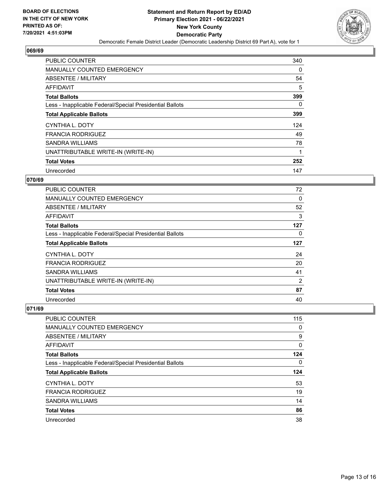

| <b>PUBLIC COUNTER</b>                                    | 340      |
|----------------------------------------------------------|----------|
| <b>MANUALLY COUNTED EMERGENCY</b>                        | 0        |
| ABSENTEE / MILITARY                                      | 54       |
| <b>AFFIDAVIT</b>                                         | 5        |
| <b>Total Ballots</b>                                     | 399      |
| Less - Inapplicable Federal/Special Presidential Ballots | $\Omega$ |
| <b>Total Applicable Ballots</b>                          | 399      |
| CYNTHIA L. DOTY                                          | 124      |
| <b>FRANCIA RODRIGUEZ</b>                                 | 49       |
| <b>SANDRA WILLIAMS</b>                                   | 78       |
| UNATTRIBUTABLE WRITE-IN (WRITE-IN)                       |          |
| <b>Total Votes</b>                                       | 252      |
| Unrecorded                                               | 147      |

## **070/69**

| PUBLIC COUNTER                                           | 72  |
|----------------------------------------------------------|-----|
| <b>MANUALLY COUNTED EMERGENCY</b>                        | 0   |
| ABSENTEE / MILITARY                                      | 52  |
| AFFIDAVIT                                                | 3   |
| <b>Total Ballots</b>                                     | 127 |
| Less - Inapplicable Federal/Special Presidential Ballots | 0   |
| <b>Total Applicable Ballots</b>                          | 127 |
| CYNTHIA L. DOTY                                          | 24  |
| <b>FRANCIA RODRIGUEZ</b>                                 | 20  |
| <b>SANDRA WILLIAMS</b>                                   | 41  |
| UNATTRIBUTABLE WRITE-IN (WRITE-IN)                       | 2   |
| <b>Total Votes</b>                                       | 87  |
| Unrecorded                                               | 40  |

| <b>PUBLIC COUNTER</b>                                    | 115 |
|----------------------------------------------------------|-----|
| <b>MANUALLY COUNTED EMERGENCY</b>                        | 0   |
| ABSENTEE / MILITARY                                      | 9   |
| AFFIDAVIT                                                | 0   |
| <b>Total Ballots</b>                                     | 124 |
| Less - Inapplicable Federal/Special Presidential Ballots | 0   |
|                                                          |     |
| <b>Total Applicable Ballots</b>                          | 124 |
| CYNTHIA L. DOTY                                          | 53  |
| <b>FRANCIA RODRIGUEZ</b>                                 | 19  |
| <b>SANDRA WILLIAMS</b>                                   | 14  |
| <b>Total Votes</b>                                       | 86  |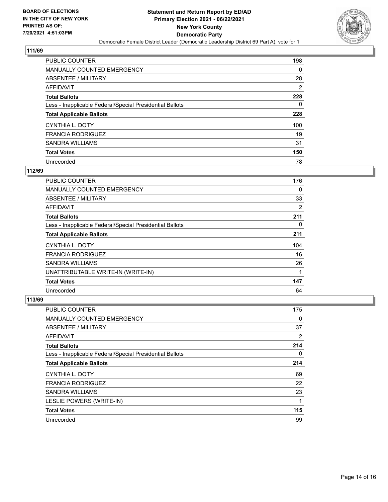

| <b>PUBLIC COUNTER</b>                                    | 198 |
|----------------------------------------------------------|-----|
| <b>MANUALLY COUNTED EMERGENCY</b>                        | 0   |
| ABSENTEE / MILITARY                                      | 28  |
| AFFIDAVIT                                                | 2   |
| <b>Total Ballots</b>                                     | 228 |
| Less - Inapplicable Federal/Special Presidential Ballots | 0   |
| <b>Total Applicable Ballots</b>                          | 228 |
| CYNTHIA L. DOTY                                          | 100 |
| <b>FRANCIA RODRIGUEZ</b>                                 | 19  |
| SANDRA WILLIAMS                                          | 31  |
| <b>Total Votes</b>                                       | 150 |
| Unrecorded                                               | 78  |

## **112/69**

| PUBLIC COUNTER                                           | 176 |
|----------------------------------------------------------|-----|
| <b>MANUALLY COUNTED EMERGENCY</b>                        | 0   |
| ABSENTEE / MILITARY                                      | 33  |
| AFFIDAVIT                                                | 2   |
| <b>Total Ballots</b>                                     | 211 |
| Less - Inapplicable Federal/Special Presidential Ballots | 0   |
| <b>Total Applicable Ballots</b>                          | 211 |
| CYNTHIA L. DOTY                                          | 104 |
| <b>FRANCIA RODRIGUEZ</b>                                 | 16  |
| <b>SANDRA WILLIAMS</b>                                   | 26  |
| UNATTRIBUTABLE WRITE-IN (WRITE-IN)                       | 1   |
| <b>Total Votes</b>                                       | 147 |
| Unrecorded                                               | 64  |

| PUBLIC COUNTER                                           | 175      |
|----------------------------------------------------------|----------|
| MANUALLY COUNTED EMERGENCY                               | $\Omega$ |
| ABSENTEE / MILITARY                                      | 37       |
| AFFIDAVIT                                                | 2        |
| <b>Total Ballots</b>                                     | 214      |
| Less - Inapplicable Federal/Special Presidential Ballots | $\Omega$ |
| <b>Total Applicable Ballots</b>                          | 214      |
| CYNTHIA L. DOTY                                          | 69       |
| <b>FRANCIA RODRIGUEZ</b>                                 | 22       |
| <b>SANDRA WILLIAMS</b>                                   | 23       |
| LESLIE POWERS (WRITE-IN)                                 |          |
| <b>Total Votes</b>                                       | 115      |
| Unrecorded                                               | 99       |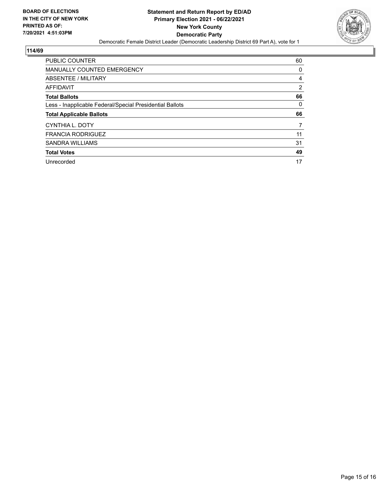

| PUBLIC COUNTER                                           | 60             |
|----------------------------------------------------------|----------------|
| <b>MANUALLY COUNTED EMERGENCY</b>                        | 0              |
| ABSENTEE / MILITARY                                      | 4              |
| AFFIDAVIT                                                | $\overline{2}$ |
| <b>Total Ballots</b>                                     | 66             |
| Less - Inapplicable Federal/Special Presidential Ballots | 0              |
|                                                          |                |
| <b>Total Applicable Ballots</b>                          | 66             |
| CYNTHIA L. DOTY                                          | 7              |
| <b>FRANCIA RODRIGUEZ</b>                                 | 11             |
| <b>SANDRA WILLIAMS</b>                                   | 31             |
| <b>Total Votes</b>                                       | 49             |